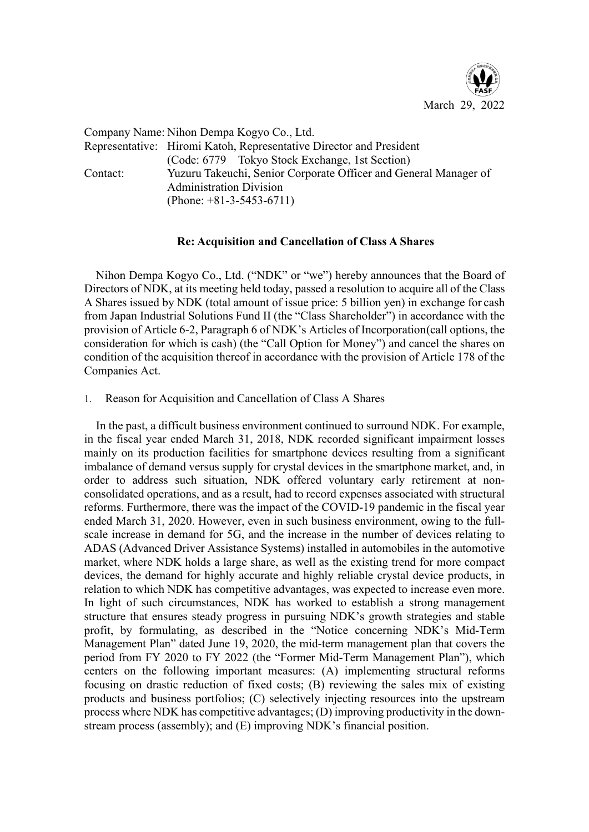

Company Name: Nihon Dempa Kogyo Co., Ltd. Representative: Hiromi Katoh, Representative Director and President (Code: 6779 Tokyo Stock Exchange, 1st Section) Contact: Yuzuru Takeuchi, Senior Corporate Officer and General Manager of Administration Division (Phone: +81-3-5453-6711)

## **Re: Acquisition and Cancellation of Class A Shares**

Nihon Dempa Kogyo Co., Ltd. ("NDK" or "we") hereby announces that the Board of Directors of NDK, at its meeting held today, passed a resolution to acquire all of the Class A Shares issued by NDK (total amount of issue price: 5 billion yen) in exchange for cash from Japan Industrial Solutions Fund II (the "Class Shareholder") in accordance with the provision of Article 6-2, Paragraph 6 of NDK's Articles of Incorporation(call options, the consideration for which is cash) (the "Call Option for Money") and cancel the shares on condition of the acquisition thereof in accordance with the provision of Article 178 of the Companies Act.

1. Reason for Acquisition and Cancellation of Class A Shares

In the past, a difficult business environment continued to surround NDK. For example, in the fiscal year ended March 31, 2018, NDK recorded significant impairment losses mainly on its production facilities for smartphone devices resulting from a significant imbalance of demand versus supply for crystal devices in the smartphone market, and, in order to address such situation, NDK offered voluntary early retirement at nonconsolidated operations, and as a result, had to record expenses associated with structural reforms. Furthermore, there was the impact of the COVID-19 pandemic in the fiscal year ended March 31, 2020. However, even in such business environment, owing to the fullscale increase in demand for 5G, and the increase in the number of devices relating to ADAS (Advanced Driver Assistance Systems) installed in automobiles in the automotive market, where NDK holds a large share, as well as the existing trend for more compact devices, the demand for highly accurate and highly reliable crystal device products, in relation to which NDK has competitive advantages, was expected to increase even more. In light of such circumstances, NDK has worked to establish a strong management structure that ensures steady progress in pursuing NDK's growth strategies and stable profit, by formulating, as described in the "Notice concerning NDK's Mid-Term Management Plan" dated June 19, 2020, the mid-term management plan that covers the period from FY 2020 to FY 2022 (the "Former Mid-Term Management Plan"), which centers on the following important measures: (A) implementing structural reforms focusing on drastic reduction of fixed costs; (B) reviewing the sales mix of existing products and business portfolios; (C) selectively injecting resources into the upstream process where NDK has competitive advantages; (D) improving productivity in the downstream process (assembly); and (E) improving NDK's financial position.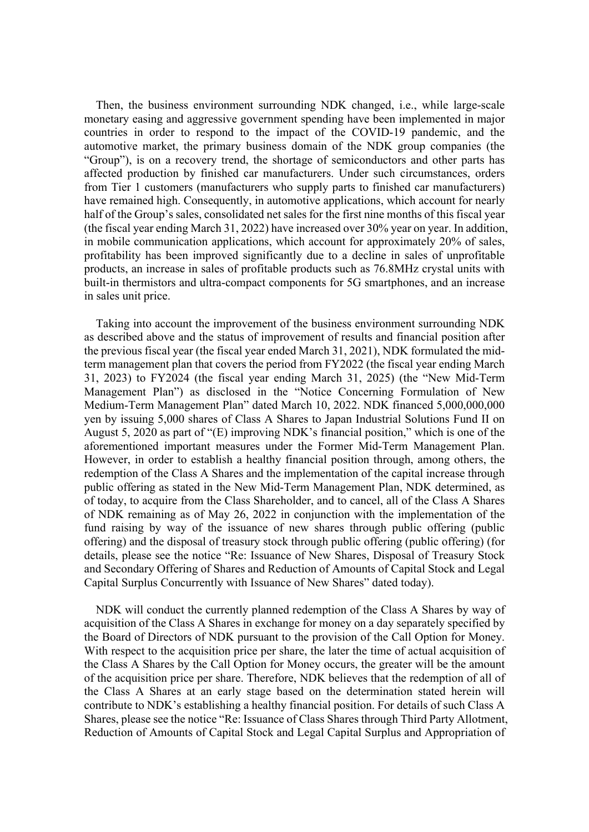Then, the business environment surrounding NDK changed, i.e., while large-scale monetary easing and aggressive government spending have been implemented in major countries in order to respond to the impact of the COVID-19 pandemic, and the automotive market, the primary business domain of the NDK group companies (the "Group"), is on a recovery trend, the shortage of semiconductors and other parts has affected production by finished car manufacturers. Under such circumstances, orders from Tier 1 customers (manufacturers who supply parts to finished car manufacturers) have remained high. Consequently, in automotive applications, which account for nearly half of the Group's sales, consolidated net sales for the first nine months of this fiscal year (the fiscal year ending March 31, 2022) have increased over 30% year on year. In addition, in mobile communication applications, which account for approximately 20% of sales, profitability has been improved significantly due to a decline in sales of unprofitable products, an increase in sales of profitable products such as 76.8MHz crystal units with built-in thermistors and ultra-compact components for 5G smartphones, and an increase in sales unit price.

Taking into account the improvement of the business environment surrounding NDK as described above and the status of improvement of results and financial position after the previous fiscal year (the fiscal year ended March 31, 2021), NDK formulated the midterm management plan that covers the period from FY2022 (the fiscal year ending March 31, 2023) to FY2024 (the fiscal year ending March 31, 2025) (the "New Mid-Term Management Plan") as disclosed in the "Notice Concerning Formulation of New Medium-Term Management Plan" dated March 10, 2022. NDK financed 5,000,000,000 yen by issuing 5,000 shares of Class A Shares to Japan Industrial Solutions Fund II on August 5, 2020 as part of "(E) improving NDK's financial position," which is one of the aforementioned important measures under the Former Mid-Term Management Plan. However, in order to establish a healthy financial position through, among others, the redemption of the Class A Shares and the implementation of the capital increase through public offering as stated in the New Mid-Term Management Plan, NDK determined, as of today, to acquire from the Class Shareholder, and to cancel, all of the Class A Shares of NDK remaining as of May 26, 2022 in conjunction with the implementation of the fund raising by way of the issuance of new shares through public offering (public offering) and the disposal of treasury stock through public offering (public offering) (for details, please see the notice "Re: Issuance of New Shares, Disposal of Treasury Stock and Secondary Offering of Shares and Reduction of Amounts of Capital Stock and Legal Capital Surplus Concurrently with Issuance of New Shares" dated today).

NDK will conduct the currently planned redemption of the Class A Shares by way of acquisition of the Class A Shares in exchange for money on a day separately specified by the Board of Directors of NDK pursuant to the provision of the Call Option for Money. With respect to the acquisition price per share, the later the time of actual acquisition of the Class A Shares by the Call Option for Money occurs, the greater will be the amount of the acquisition price per share. Therefore, NDK believes that the redemption of all of the Class A Shares at an early stage based on the determination stated herein will contribute to NDK's establishing a healthy financial position. For details of such Class A Shares, please see the notice "Re: Issuance of Class Shares through Third Party Allotment, Reduction of Amounts of Capital Stock and Legal Capital Surplus and Appropriation of